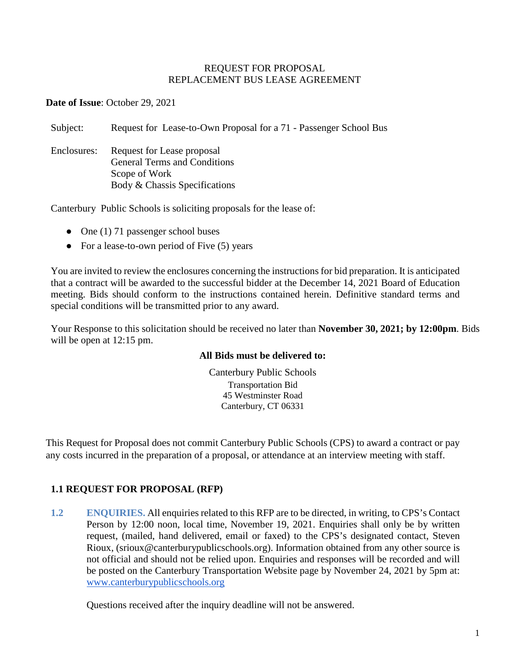#### REQUEST FOR PROPOSAL REPLACEMENT BUS LEASE AGREEMENT

**Date of Issue**: October 29, 2021

Subject: Request for Lease-to-Own Proposal for a 71 - Passenger School Bus

Enclosures: Request for Lease proposal General Terms and Conditions Scope of Work Body & Chassis Specifications

Canterbury Public Schools is soliciting proposals for the lease of:

- One  $(1)$  71 passenger school buses
- For a lease-to-own period of Five (5) years

You are invited to review the enclosures concerning the instructions for bid preparation. It is anticipated that a contract will be awarded to the successful bidder at the December 14, 2021 Board of Education meeting. Bids should conform to the instructions contained herein. Definitive standard terms and special conditions will be transmitted prior to any award.

Your Response to this solicitation should be received no later than **November 30, 2021; by 12:00pm**. Bids will be open at 12:15 pm.

### **All Bids must be delivered to:**

Canterbury Public Schools Transportation Bid 45 Westminster Road Canterbury, CT 06331

This Request for Proposal does not commit Canterbury Public Schools (CPS) to award a contract or pay any costs incurred in the preparation of a proposal, or attendance at an interview meeting with staff.

# **1.1 REQUEST FOR PROPOSAL (RFP)**

**1.2 ENQUIRIES.** All enquiries related to this RFP are to be directed, in writing, to CPS's Contact Person by 12:00 noon, local time, November 19, 2021. Enquiries shall only be by written request, (mailed, hand delivered, email or faxed) to the CPS's designated contact, Steven Rioux, (srioux@canterburypublicschools.org). Information obtained from any other source is not official and should not be relied upon. Enquiries and responses will be recorded and will be posted on the Canterbury Transportation Website page by November 24, 2021 by 5pm at: [www.canterburypublicschools.org](http://www.canterburypublicschools.org/)

Questions received after the inquiry deadline will not be answered.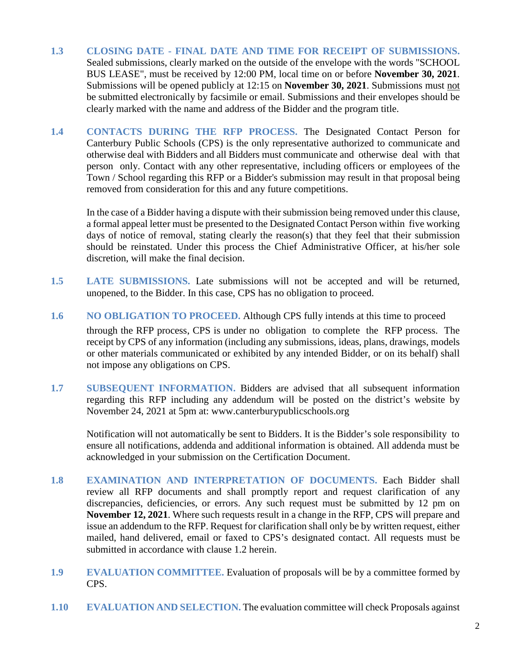- **1.3 CLOSING DATE - FINAL DATE AND TIME FOR RECEIPT OF SUBMISSIONS.** Sealed submissions, clearly marked on the outside of the envelope with the words "SCHOOL BUS LEASE", must be received by 12:00 PM, local time on or before **November 30, 2021**. Submissions will be opened publicly at 12:15 on **November 30, 2021**. Submissions must not be submitted electronically by facsimile or email. Submissions and their envelopes should be clearly marked with the name and address of the Bidder and the program title.
- **1.4 CONTACTS DURING THE RFP PROCESS.** The Designated Contact Person for Canterbury Public Schools (CPS) is the only representative authorized to communicate and otherwise deal with Bidders and all Bidders must communicate and otherwise deal with that person only. Contact with any other representative, including officers or employees of the Town / School regarding this RFP or a Bidder's submission may result in that proposal being removed from consideration for this and any future competitions.

In the case of a Bidder having a dispute with their submission being removed under this clause, a formal appeal letter must be presented to the Designated Contact Person within five working days of notice of removal, stating clearly the reason(s) that they feel that their submission should be reinstated. Under this process the Chief Administrative Officer, at his/her sole discretion, will make the final decision.

- **1.5 LATE SUBMISSIONS.** Late submissions will not be accepted and will be returned, unopened, to the Bidder. In this case, CPS has no obligation to proceed.
- **1.6 NO OBLIGATION TO PROCEED.** Although CPS fully intends at this time to proceed through the RFP process, CPS is under no obligation to complete the RFP process. The receipt by CPS of any information (including any submissions, ideas, plans, drawings, models or other materials communicated or exhibited by any intended Bidder, or on its behalf) shall not impose any obligations on CPS.
- **1.7 SUBSEQUENT INFORMATION.** Bidders are advised that all subsequent information regarding this RFP including any addendum will be posted on the district's website by November 24, 2021 at 5pm at: www.canterburypublicschools.org

Notification will not automatically be sent to Bidders. It is the Bidder's sole responsibility to ensure all notifications, addenda and additional information is obtained. All addenda must be acknowledged in your submission on the Certification Document.

- **1.8 EXAMINATION AND INTERPRETATION OF DOCUMENTS.** Each Bidder shall review all RFP documents and shall promptly report and request clarification of any discrepancies, deficiencies, or errors. Any such request must be submitted by 12 pm on **November 12, 2021**. Where such requests result in a change in the RFP, CPS will prepare and issue an addendum to the RFP. Request for clarification shall only be by written request, either mailed, hand delivered, email or faxed to CPS's designated contact. All requests must be submitted in accordance with clause 1.2 herein.
- **1.9 EVALUATION COMMITTEE.** Evaluation of proposals will be by a committee formed by CPS.
- **1.10 EVALUATION AND SELECTION.** The evaluation committee will check Proposals against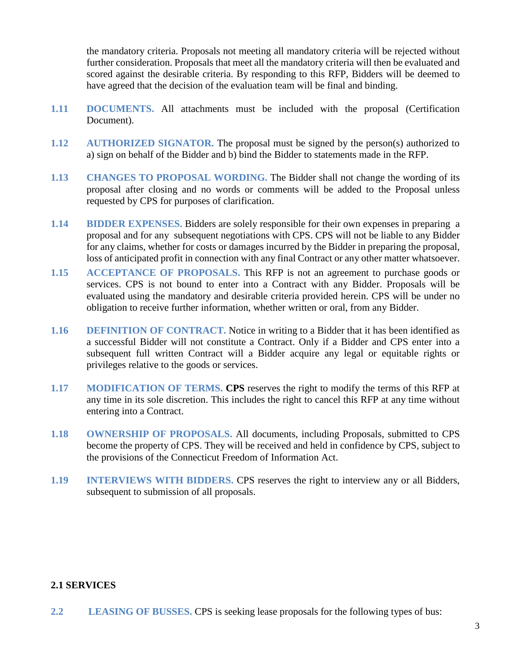the mandatory criteria. Proposals not meeting all mandatory criteria will be rejected without further consideration. Proposals that meet all the mandatory criteria will then be evaluated and scored against the desirable criteria. By responding to this RFP, Bidders will be deemed to have agreed that the decision of the evaluation team will be final and binding.

- **1.11 DOCUMENTS.** All attachments must be included with the proposal (Certification Document).
- **1.12 AUTHORIZED SIGNATOR.** The proposal must be signed by the person(s) authorized to a) sign on behalf of the Bidder and b) bind the Bidder to statements made in the RFP.
- **1.13 CHANGES TO PROPOSAL WORDING.** The Bidder shall not change the wording of its proposal after closing and no words or comments will be added to the Proposal unless requested by CPS for purposes of clarification.
- **1.14 BIDDER EXPENSES.** Bidders are solely responsible for their own expenses in preparing a proposal and for any subsequent negotiations with CPS. CPS will not be liable to any Bidder for any claims, whether for costs or damages incurred by the Bidder in preparing the proposal, loss of anticipated profit in connection with any final Contract or any other matter whatsoever.
- **1.15 ACCEPTANCE OF PROPOSALS.** This RFP is not an agreement to purchase goods or services. CPS is not bound to enter into a Contract with any Bidder. Proposals will be evaluated using the mandatory and desirable criteria provided herein. CPS will be under no obligation to receive further information, whether written or oral, from any Bidder.
- **1.16 DEFINITION OF CONTRACT.** Notice in writing to a Bidder that it has been identified as a successful Bidder will not constitute a Contract. Only if a Bidder and CPS enter into a subsequent full written Contract will a Bidder acquire any legal or equitable rights or privileges relative to the goods or services.
- **1.17 MODIFICATION OF TERMS. CPS** reserves the right to modify the terms of this RFP at any time in its sole discretion. This includes the right to cancel this RFP at any time without entering into a Contract.
- **1.18 OWNERSHIP OF PROPOSALS.** All documents, including Proposals, submitted to CPS become the property of CPS. They will be received and held in confidence by CPS, subject to the provisions of the Connecticut Freedom of Information Act.
- **1.19 INTERVIEWS WITH BIDDERS.** CPS reserves the right to interview any or all Bidders, subsequent to submission of all proposals.

### **2.1 SERVICES**

**2.2 LEASING OF BUSSES.** CPS is seeking lease proposals for the following types of bus: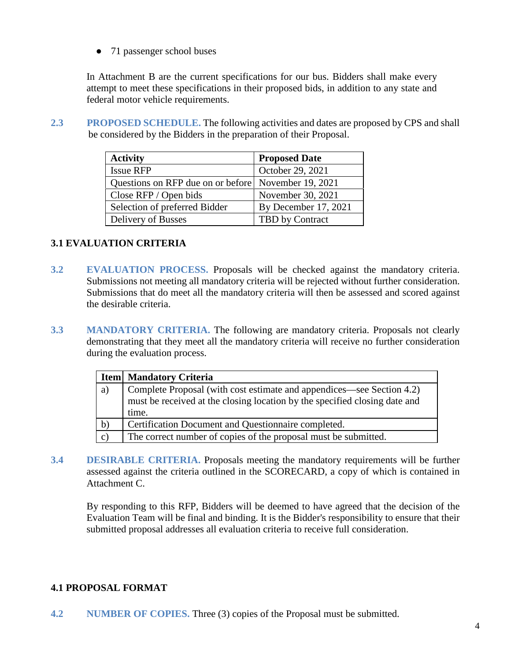• 71 passenger school buses

In Attachment B are the current specifications for our bus. Bidders shall make every attempt to meet these specifications in their proposed bids, in addition to any state and federal motor vehicle requirements.

**2.3 PROPOSED SCHEDULE.** The following activities and dates are proposed by CPS and shall be considered by the Bidders in the preparation of their Proposal.

| <b>Activity</b>                                     | <b>Proposed Date</b> |
|-----------------------------------------------------|----------------------|
| <b>Issue RFP</b>                                    | October 29, 2021     |
| Questions on RFP due on or before November 19, 2021 |                      |
| Close RFP / Open bids                               | November 30, 2021    |
| Selection of preferred Bidder                       | By December 17, 2021 |
| Delivery of Busses                                  | TBD by Contract      |

# **3.1 EVALUATION CRITERIA**

- **3.2 EVALUATION PROCESS.** Proposals will be checked against the mandatory criteria. Submissions not meeting all mandatory criteria will be rejected without further consideration. Submissions that do meet all the mandatory criteria will then be assessed and scored against the desirable criteria.
- **3.3 MANDATORY CRITERIA.** The following are mandatory criteria. Proposals not clearly demonstrating that they meet all the mandatory criteria will receive no further consideration during the evaluation process.

|              | <b>Item</b> Mandatory Criteria                                             |  |
|--------------|----------------------------------------------------------------------------|--|
| a)           | Complete Proposal (with cost estimate and appendices—see Section 4.2)      |  |
|              | must be received at the closing location by the specified closing date and |  |
|              | time.                                                                      |  |
| $\mathbf{b}$ | Certification Document and Questionnaire completed.                        |  |
| $\mathbf{c}$ | The correct number of copies of the proposal must be submitted.            |  |

**3.4 DESIRABLE CRITERIA.** Proposals meeting the mandatory requirements will be further assessed against the criteria outlined in the SCORECARD, a copy of which is contained in Attachment C.

By responding to this RFP, Bidders will be deemed to have agreed that the decision of the Evaluation Team will be final and binding. It is the Bidder's responsibility to ensure that their submitted proposal addresses all evaluation criteria to receive full consideration.

# **4.1 PROPOSAL FORMAT**

**4.2 NUMBER OF COPIES.** Three (3) copies of the Proposal must be submitted.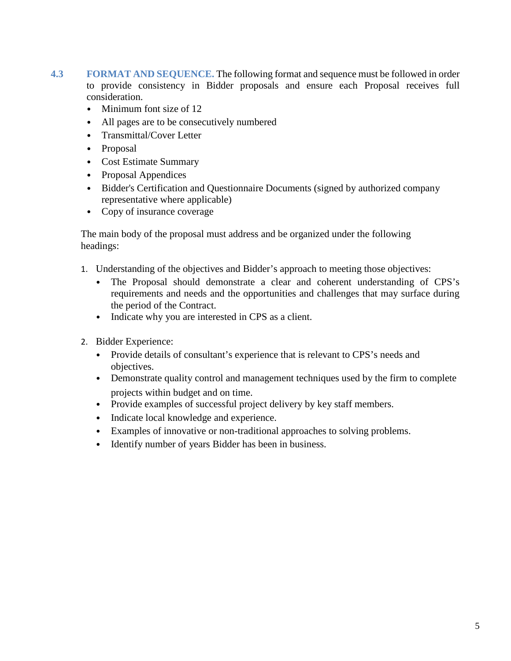- **4.3 FORMAT AND SEQUENCE.** The following format and sequence must be followed in order to provide consistency in Bidder proposals and ensure each Proposal receives full consideration.
	- Minimum font size of 12
	- All pages are to be consecutively numbered
	- Transmittal/Cover Letter
	- Proposal
	- Cost Estimate Summary
	- Proposal Appendices
	- Bidder's Certification and Questionnaire Documents (signed by authorized company representative where applicable)
	- Copy of insurance coverage

The main body of the proposal must address and be organized under the following headings:

- 1. Understanding of the objectives and Bidder's approach to meeting those objectives:
	- The Proposal should demonstrate a clear and coherent understanding of CPS's requirements and needs and the opportunities and challenges that may surface during the period of the Contract.
	- Indicate why you are interested in CPS as a client.
- 2. Bidder Experience:
	- Provide details of consultant's experience that is relevant to CPS's needs and objectives.
	- Demonstrate quality control and management techniques used by the firm to complete projects within budget and on time.
	- Provide examples of successful project delivery by key staff members.
	- Indicate local knowledge and experience.
	- Examples of innovative or non-traditional approaches to solving problems.
	- Identify number of years Bidder has been in business.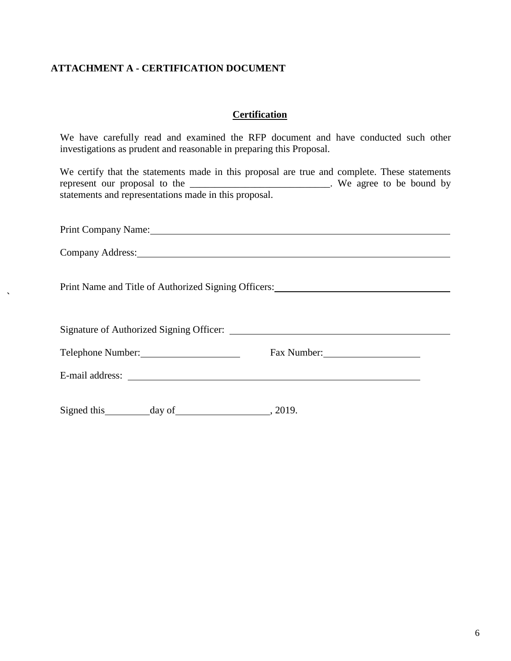# **ATTACHMENT A - CERTIFICATION DOCUMENT**

### **Certification**

We have carefully read and examined the RFP document and have conducted such other investigations as prudent and reasonable in preparing this Proposal.

We certify that the statements made in this proposal are true and complete. These statements represent our proposal to the \_\_\_\_\_\_\_\_\_\_\_\_\_\_\_\_\_\_\_\_\_\_\_\_\_\_\_. We agree to be bound by statements and representations made in this proposal.

| Print Company Name: 1988 and 1988 and 1988 and 1988 and 1988 and 1988 and 1988 and 1988 and 1988 and 1988 and 1988 and 1988 and 1988 and 1988 and 1988 and 1988 and 1988 and 1988 and 1988 and 1988 and 1988 and 1988 and 1988 |             |
|--------------------------------------------------------------------------------------------------------------------------------------------------------------------------------------------------------------------------------|-------------|
| Company Address: 1988 and 2008 and 2008 and 2008 and 2008 and 2008 and 2008 and 2008 and 2008 and 2008 and 200                                                                                                                 |             |
|                                                                                                                                                                                                                                |             |
|                                                                                                                                                                                                                                |             |
| Telephone Number: 1997                                                                                                                                                                                                         | Fax Number: |
| E-mail address: No. 2016. The mail address: No. 2016. The mail and the set of the mail and the set of the set of the set of the set of the set of the set of the set of the set of the set of the set of the set of the set of |             |
| Signed this day of 3019.                                                                                                                                                                                                       |             |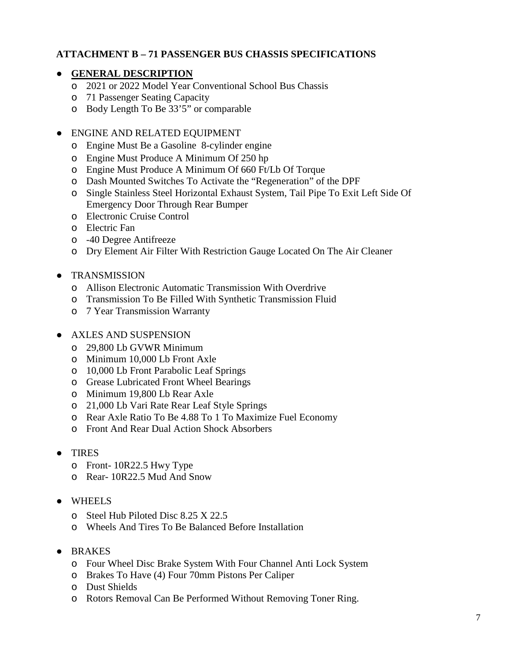### **ATTACHMENT B – 71 PASSENGER BUS CHASSIS SPECIFICATIONS**

### ● **GENERAL DESCRIPTION**

- o 2021 or 2022 Model Year Conventional School Bus Chassis
- o 71 Passenger Seating Capacity
- o Body Length To Be 33'5" or comparable

#### ● ENGINE AND RELATED EQUIPMENT

- o Engine Must Be a Gasoline 8-cylinder engine
- o Engine Must Produce A Minimum Of 250 hp
- o Engine Must Produce A Minimum Of 660 Ft/Lb Of Torque
- o Dash Mounted Switches To Activate the "Regeneration" of the DPF
- o Single Stainless Steel Horizontal Exhaust System, Tail Pipe To Exit Left Side Of Emergency Door Through Rear Bumper
- o Electronic Cruise Control
- o Electric Fan
- o -40 Degree Antifreeze
- o Dry Element Air Filter With Restriction Gauge Located On The Air Cleaner

### ● TRANSMISSION

- o Allison Electronic Automatic Transmission With Overdrive
- o Transmission To Be Filled With Synthetic Transmission Fluid
- o 7 Year Transmission Warranty

#### ● AXLES AND SUSPENSION

- o 29,800 Lb GVWR Minimum
- o Minimum 10,000 Lb Front Axle
- o 10,000 Lb Front Parabolic Leaf Springs
- o Grease Lubricated Front Wheel Bearings
- o Minimum 19,800 Lb Rear Axle
- o 21,000 Lb Vari Rate Rear Leaf Style Springs
- o Rear Axle Ratio To Be 4.88 To 1 To Maximize Fuel Economy
- o Front And Rear Dual Action Shock Absorbers
- TIRES
	- o Front- 10R22.5 Hwy Type
	- o Rear- 10R22.5 Mud And Snow
- WHEELS
	- o Steel Hub Piloted Disc 8.25 X 22.5
	- o Wheels And Tires To Be Balanced Before Installation
- BRAKES
	- o Four Wheel Disc Brake System With Four Channel Anti Lock System
	- o Brakes To Have (4) Four 70mm Pistons Per Caliper
	- o Dust Shields
	- o Rotors Removal Can Be Performed Without Removing Toner Ring.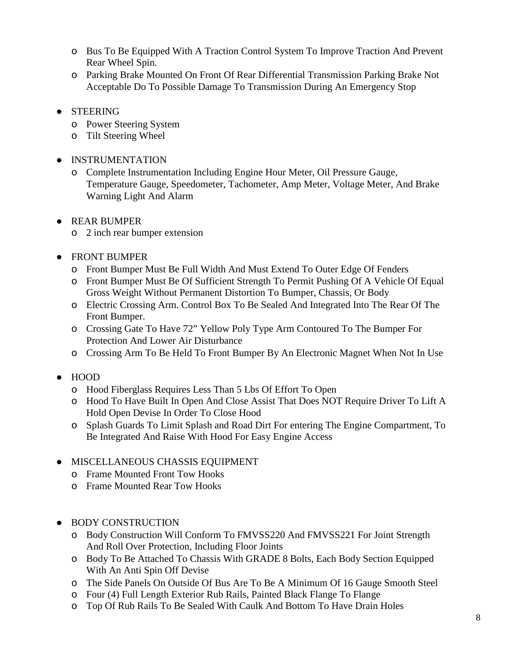- o Bus To Be Equipped With A Traction Control System To Improve Traction And Prevent Rear Wheel Spin.
- o Parking Brake Mounted On Front Of Rear Differential Transmission Parking Brake Not Acceptable Do To Possible Damage To Transmission During An Emergency Stop
- STEERING
	- o Power Steering System
	- o Tilt Steering Wheel
- **INSTRUMENTATION** 
	- o Complete Instrumentation Including Engine Hour Meter, Oil Pressure Gauge, Temperature Gauge, Speedometer, Tachometer, Amp Meter, Voltage Meter, And Brake Warning Light And Alarm
- REAR BUMPER
	- o 2 inch rear bumper extension
- FRONT BUMPER
	- o Front Bumper Must Be Full Width And Must Extend To Outer Edge Of Fenders
	- o Front Bumper Must Be Of Sufficient Strength To Permit Pushing Of A Vehicle Of Equal Gross Weight Without Permanent Distortion To Bumper, Chassis, Or Body
	- o Electric Crossing Arm. Control Box To Be Sealed And Integrated Into The Rear Of The Front Bumper.
	- o Crossing Gate To Have 72" Yellow Poly Type Arm Contoured To The Bumper For Protection And Lower Air Disturbance
	- o Crossing Arm To Be Held To Front Bumper By An Electronic Magnet When Not In Use
- HOOD
	- o Hood Fiberglass Requires Less Than 5 Lbs Of Effort To Open
	- o Hood To Have Built In Open And Close Assist That Does NOT Require Driver To Lift A Hold Open Devise In Order To Close Hood
	- o Splash Guards To Limit Splash and Road Dirt For entering The Engine Compartment, To Be Integrated And Raise With Hood For Easy Engine Access

# ● MISCELLANEOUS CHASSIS EQUIPMENT

- o Frame Mounted Front Tow Hooks
- o Frame Mounted Rear Tow Hooks
- BODY CONSTRUCTION
	- o Body Construction Will Conform To FMVSS220 And FMVSS221 For Joint Strength And Roll Over Protection, Including Floor Joints
	- o Body To Be Attached To Chassis With GRADE 8 Bolts, Each Body Section Equipped With An Anti Spin Off Devise
	- o The Side Panels On Outside Of Bus Are To Be A Minimum Of 16 Gauge Smooth Steel
	- o Four (4) Full Length Exterior Rub Rails, Painted Black Flange To Flange
	- o Top Of Rub Rails To Be Sealed With Caulk And Bottom To Have Drain Holes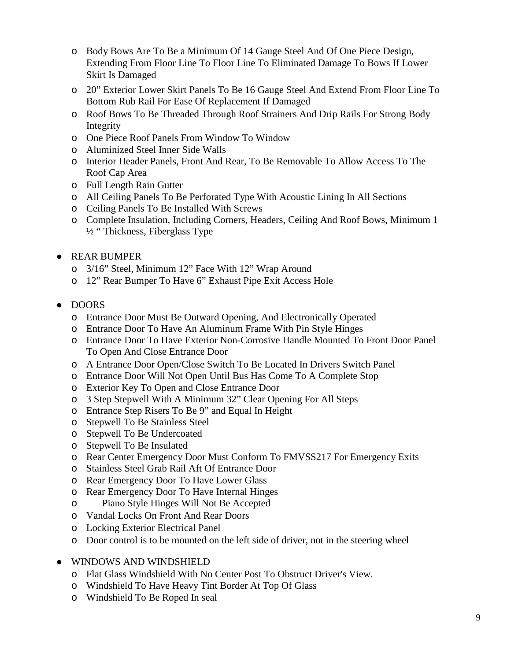- o Body Bows Are To Be a Minimum Of 14 Gauge Steel And Of One Piece Design, Extending From Floor Line To Floor Line To Eliminated Damage To Bows If Lower Skirt Is Damaged
- o 20" Exterior Lower Skirt Panels To Be 16 Gauge Steel And Extend From Floor Line To Bottom Rub Rail For Ease Of Replacement If Damaged
- o Roof Bows To Be Threaded Through Roof Strainers And Drip Rails For Strong Body Integrity
- o One Piece Roof Panels From Window To Window
- o Aluminized Steel Inner Side Walls
- o Interior Header Panels, Front And Rear, To Be Removable To Allow Access To The Roof Cap Area
- o Full Length Rain Gutter
- o All Ceiling Panels To Be Perforated Type With Acoustic Lining In All Sections
- o Ceiling Panels To Be Installed With Screws
- o Complete Insulation, Including Corners, Headers, Ceiling And Roof Bows, Minimum 1 ½ " Thickness, Fiberglass Type
- REAR BUMPER
	- o 3/16" Steel, Minimum 12" Face With 12" Wrap Around
	- o 12" Rear Bumper To Have 6" Exhaust Pipe Exit Access Hole
- DOORS
	- o Entrance Door Must Be Outward Opening, And Electronically Operated
	- o Entrance Door To Have An Aluminum Frame With Pin Style Hinges
	- o Entrance Door To Have Exterior Non-Corrosive Handle Mounted To Front Door Panel To Open And Close Entrance Door
	- o A Entrance Door Open/Close Switch To Be Located In Drivers Switch Panel
	- o Entrance Door Will Not Open Until Bus Has Come To A Complete Stop
	- o Exterior Key To Open and Close Entrance Door
	- o 3 Step Stepwell With A Minimum 32" Clear Opening For All Steps
	- o Entrance Step Risers To Be 9" and Equal In Height
	- o Stepwell To Be Stainless Steel
	- o Stepwell To Be Undercoated
	- o Stepwell To Be Insulated
	- o Rear Center Emergency Door Must Conform To FMVSS217 For Emergency Exits
	- o Stainless Steel Grab Rail Aft Of Entrance Door
	- o Rear Emergency Door To Have Lower Glass
	- o Rear Emergency Door To Have Internal Hinges
	- o Piano Style Hinges Will Not Be Accepted
	- o Vandal Locks On Front And Rear Doors
	- o Locking Exterior Electrical Panel
	- o Door control is to be mounted on the left side of driver, not in the steering wheel
- WINDOWS AND WINDSHIELD
	- o Flat Glass Windshield With No Center Post To Obstruct Driver's View.
	- o Windshield To Have Heavy Tint Border At Top Of Glass
	- o Windshield To Be Roped In seal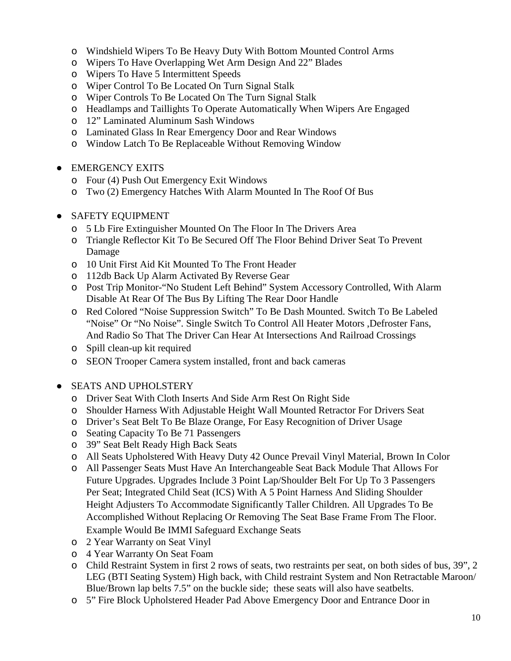- o Windshield Wipers To Be Heavy Duty With Bottom Mounted Control Arms
- o Wipers To Have Overlapping Wet Arm Design And 22" Blades
- o Wipers To Have 5 Intermittent Speeds
- o Wiper Control To Be Located On Turn Signal Stalk
- o Wiper Controls To Be Located On The Turn Signal Stalk
- o Headlamps and Taillights To Operate Automatically When Wipers Are Engaged
- o 12" Laminated Aluminum Sash Windows
- o Laminated Glass In Rear Emergency Door and Rear Windows
- o Window Latch To Be Replaceable Without Removing Window
- **EMERGENCY EXITS** 
	- o Four (4) Push Out Emergency Exit Windows
	- o Two (2) Emergency Hatches With Alarm Mounted In The Roof Of Bus
- SAFETY EQUIPMENT
	- o 5 Lb Fire Extinguisher Mounted On The Floor In The Drivers Area
	- o Triangle Reflector Kit To Be Secured Off The Floor Behind Driver Seat To Prevent Damage
	- o 10 Unit First Aid Kit Mounted To The Front Header
	- o 112db Back Up Alarm Activated By Reverse Gear
	- o Post Trip Monitor-"No Student Left Behind" System Accessory Controlled, With Alarm Disable At Rear Of The Bus By Lifting The Rear Door Handle
	- o Red Colored "Noise Suppression Switch" To Be Dash Mounted. Switch To Be Labeled "Noise" Or "No Noise". Single Switch To Control All Heater Motors ,Defroster Fans, And Radio So That The Driver Can Hear At Intersections And Railroad Crossings
	- o Spill clean-up kit required
	- o SEON Trooper Camera system installed, front and back cameras
- SEATS AND UPHOLSTERY
	- o Driver Seat With Cloth Inserts And Side Arm Rest On Right Side
	- o Shoulder Harness With Adjustable Height Wall Mounted Retractor For Drivers Seat
	- o Driver's Seat Belt To Be Blaze Orange, For Easy Recognition of Driver Usage
	- o Seating Capacity To Be 71 Passengers
	- o 39" Seat Belt Ready High Back Seats
	- o All Seats Upholstered With Heavy Duty 42 Ounce Prevail Vinyl Material, Brown In Color
	- o All Passenger Seats Must Have An Interchangeable Seat Back Module That Allows For Future Upgrades. Upgrades Include 3 Point Lap/Shoulder Belt For Up To 3 Passengers Per Seat; Integrated Child Seat (ICS) With A 5 Point Harness And Sliding Shoulder Height Adjusters To Accommodate Significantly Taller Children. All Upgrades To Be Accomplished Without Replacing Or Removing The Seat Base Frame From The Floor. Example Would Be IMMI Safeguard Exchange Seats
	- o 2 Year Warranty on Seat Vinyl
	- o 4 Year Warranty On Seat Foam
	- o Child Restraint System in first 2 rows of seats, two restraints per seat, on both sides of bus, 39", 2 LEG (BTI Seating System) High back, with Child restraint System and Non Retractable Maroon/ Blue/Brown lap belts 7.5" on the buckle side; these seats will also have seatbelts.
	- o 5" Fire Block Upholstered Header Pad Above Emergency Door and Entrance Door in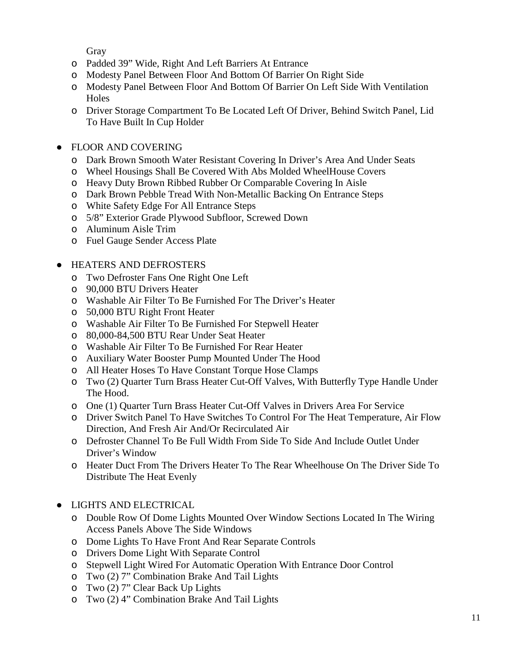Gray

- o Padded 39" Wide, Right And Left Barriers At Entrance
- o Modesty Panel Between Floor And Bottom Of Barrier On Right Side
- o Modesty Panel Between Floor And Bottom Of Barrier On Left Side With Ventilation **Holes**
- o Driver Storage Compartment To Be Located Left Of Driver, Behind Switch Panel, Lid To Have Built In Cup Holder
- FLOOR AND COVERING
	- o Dark Brown Smooth Water Resistant Covering In Driver's Area And Under Seats
	- o Wheel Housings Shall Be Covered With Abs Molded WheelHouse Covers
	- o Heavy Duty Brown Ribbed Rubber Or Comparable Covering In Aisle
	- o Dark Brown Pebble Tread With Non-Metallic Backing On Entrance Steps
	- o White Safety Edge For All Entrance Steps
	- o 5/8" Exterior Grade Plywood Subfloor, Screwed Down
	- o Aluminum Aisle Trim
	- o Fuel Gauge Sender Access Plate
- HEATERS AND DEFROSTERS
	- o Two Defroster Fans One Right One Left
	- o 90,000 BTU Drivers Heater
	- o Washable Air Filter To Be Furnished For The Driver's Heater
	- o 50,000 BTU Right Front Heater
	- o Washable Air Filter To Be Furnished For Stepwell Heater
	- o 80,000-84,500 BTU Rear Under Seat Heater
	- o Washable Air Filter To Be Furnished For Rear Heater
	- o Auxiliary Water Booster Pump Mounted Under The Hood
	- o All Heater Hoses To Have Constant Torque Hose Clamps
	- o Two (2) Quarter Turn Brass Heater Cut-Off Valves, With Butterfly Type Handle Under The Hood.
	- o One (1) Quarter Turn Brass Heater Cut-Off Valves in Drivers Area For Service
	- o Driver Switch Panel To Have Switches To Control For The Heat Temperature, Air Flow Direction, And Fresh Air And/Or Recirculated Air
	- o Defroster Channel To Be Full Width From Side To Side And Include Outlet Under Driver's Window
	- o Heater Duct From The Drivers Heater To The Rear Wheelhouse On The Driver Side To Distribute The Heat Evenly
- LIGHTS AND ELECTRICAL
	- o Double Row Of Dome Lights Mounted Over Window Sections Located In The Wiring Access Panels Above The Side Windows
	- o Dome Lights To Have Front And Rear Separate Controls
	- o Drivers Dome Light With Separate Control
	- o Stepwell Light Wired For Automatic Operation With Entrance Door Control
	- o Two (2) 7" Combination Brake And Tail Lights
	- o Two (2) 7" Clear Back Up Lights
	- o Two (2) 4" Combination Brake And Tail Lights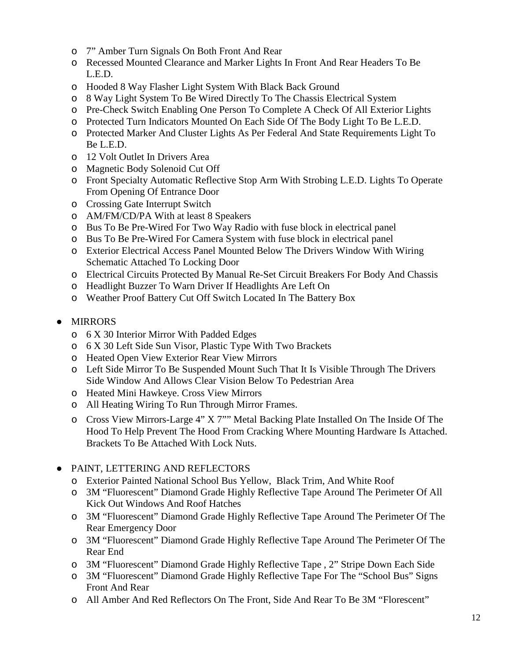- o 7" Amber Turn Signals On Both Front And Rear
- o Recessed Mounted Clearance and Marker Lights In Front And Rear Headers To Be L.E.D.
- o Hooded 8 Way Flasher Light System With Black Back Ground
- o 8 Way Light System To Be Wired Directly To The Chassis Electrical System
- o Pre-Check Switch Enabling One Person To Complete A Check Of All Exterior Lights
- o Protected Turn Indicators Mounted On Each Side Of The Body Light To Be L.E.D.
- o Protected Marker And Cluster Lights As Per Federal And State Requirements Light To Be L.E.D.
- o 12 Volt Outlet In Drivers Area
- o Magnetic Body Solenoid Cut Off
- o Front Specialty Automatic Reflective Stop Arm With Strobing L.E.D. Lights To Operate From Opening Of Entrance Door
- o Crossing Gate Interrupt Switch
- o AM/FM/CD/PA With at least 8 Speakers
- o Bus To Be Pre-Wired For Two Way Radio with fuse block in electrical panel
- o Bus To Be Pre-Wired For Camera System with fuse block in electrical panel
- o Exterior Electrical Access Panel Mounted Below The Drivers Window With Wiring Schematic Attached To Locking Door
- o Electrical Circuits Protected By Manual Re-Set Circuit Breakers For Body And Chassis
- o Headlight Buzzer To Warn Driver If Headlights Are Left On
- o Weather Proof Battery Cut Off Switch Located In The Battery Box

# ● MIRRORS

- o 6 X 30 Interior Mirror With Padded Edges
- o 6 X 30 Left Side Sun Visor, Plastic Type With Two Brackets
- o Heated Open View Exterior Rear View Mirrors
- o Left Side Mirror To Be Suspended Mount Such That It Is Visible Through The Drivers Side Window And Allows Clear Vision Below To Pedestrian Area
- o Heated Mini Hawkeye. Cross View Mirrors
- o All Heating Wiring To Run Through Mirror Frames.
- o Cross View Mirrors-Large 4" X 7"" Metal Backing Plate Installed On The Inside Of The Hood To Help Prevent The Hood From Cracking Where Mounting Hardware Is Attached. Brackets To Be Attached With Lock Nuts.
- PAINT, LETTERING AND REFLECTORS
	- o Exterior Painted National School Bus Yellow, Black Trim, And White Roof
	- o 3M "Fluorescent" Diamond Grade Highly Reflective Tape Around The Perimeter Of All Kick Out Windows And Roof Hatches
	- o 3M "Fluorescent" Diamond Grade Highly Reflective Tape Around The Perimeter Of The Rear Emergency Door
	- o 3M "Fluorescent" Diamond Grade Highly Reflective Tape Around The Perimeter Of The Rear End
	- o 3M "Fluorescent" Diamond Grade Highly Reflective Tape , 2" Stripe Down Each Side
	- o 3M "Fluorescent" Diamond Grade Highly Reflective Tape For The "School Bus" Signs Front And Rear
	- o All Amber And Red Reflectors On The Front, Side And Rear To Be 3M "Florescent"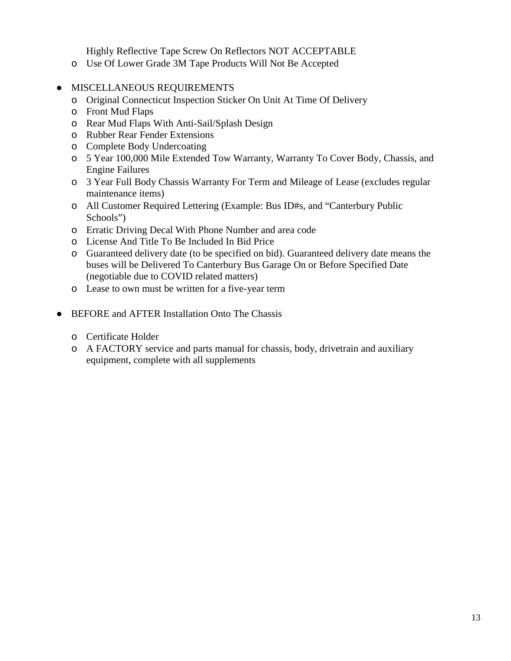Highly Reflective Tape Screw On Reflectors NOT ACCEPTABLE

- o Use Of Lower Grade 3M Tape Products Will Not Be Accepted
- MISCELLANEOUS REQUIREMENTS
	- o Original Connecticut Inspection Sticker On Unit At Time Of Delivery
	- o Front Mud Flaps
	- o Rear Mud Flaps With Anti-Sail/Splash Design
	- o Rubber Rear Fender Extensions
	- o Complete Body Undercoating
	- o 5 Year 100,000 Mile Extended Tow Warranty, Warranty To Cover Body, Chassis, and Engine Failures
	- o 3 Year Full Body Chassis Warranty For Term and Mileage of Lease (excludes regular maintenance items)
	- o All Customer Required Lettering (Example: Bus ID#s, and "Canterbury Public Schools")
	- o Erratic Driving Decal With Phone Number and area code
	- o License And Title To Be Included In Bid Price
	- o Guaranteed delivery date (to be specified on bid). Guaranteed delivery date means the buses will be Delivered To Canterbury Bus Garage On or Before Specified Date (negotiable due to COVID related matters)
	- o Lease to own must be written for a five-year term
- BEFORE and AFTER Installation Onto The Chassis
	- o Certificate Holder
	- o A FACTORY service and parts manual for chassis, body, drivetrain and auxiliary equipment, complete with all supplements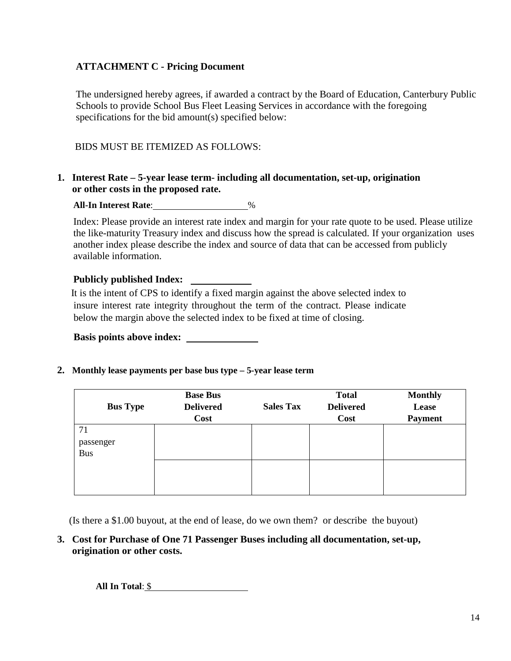# **ATTACHMENT C - Pricing Document**

The undersigned hereby agrees, if awarded a contract by the Board of Education, Canterbury Public Schools to provide School Bus Fleet Leasing Services in accordance with the foregoing specifications for the bid amount(s) specified below:

### BIDS MUST BE ITEMIZED AS FOLLOWS:

#### **1. Interest Rate – 5-year lease term- including all documentation, set-up, origination or other costs in the proposed rate.**

**All-In Interest Rate**: %

Index: Please provide an interest rate index and margin for your rate quote to be used. Please utilize the like-maturity Treasury index and discuss how the spread is calculated. If your organization uses another index please describe the index and source of data that can be accessed from publicly available information.

#### **Publicly published Index:**

 It is the intent of CPS to identify a fixed margin against the above selected index to insure interest rate integrity throughout the term of the contract. Please indicate below the margin above the selected index to be fixed at time of closing.

**Basis points above index:** 

**2. Monthly lease payments per base bus type – 5-year lease term**

| <b>Bus Type</b>               | <b>Base Bus</b><br><b>Delivered</b><br>Cost | <b>Sales Tax</b> | <b>Total</b><br><b>Delivered</b><br>Cost | <b>Monthly</b><br>Lease<br><b>Payment</b> |
|-------------------------------|---------------------------------------------|------------------|------------------------------------------|-------------------------------------------|
| 71<br>passenger<br><b>Bus</b> |                                             |                  |                                          |                                           |
|                               |                                             |                  |                                          |                                           |

(Is there a \$1.00 buyout, at the end of lease, do we own them? or describe the buyout)

**3. Cost for Purchase of One 71 Passenger Buses including all documentation, set-up, origination or other costs.**

**All In Total**: \$